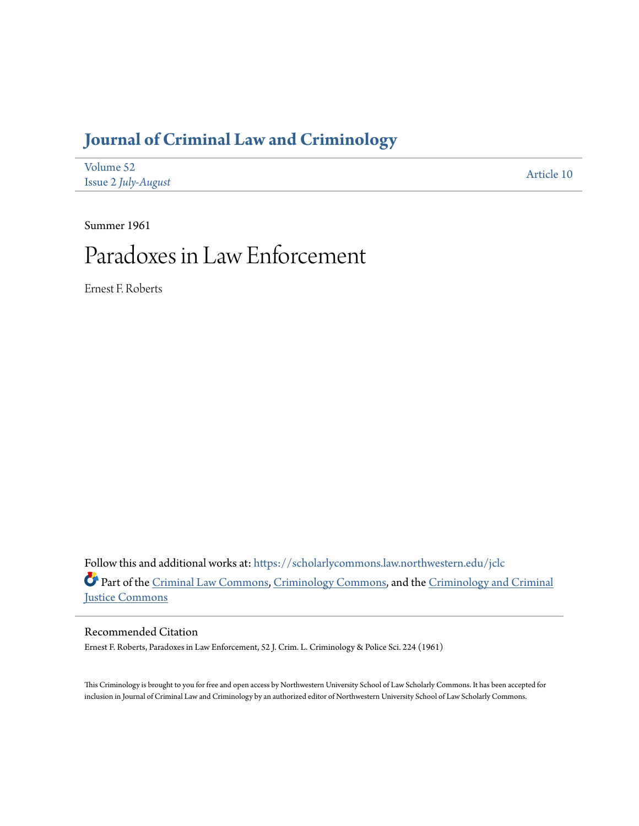# **[Journal of Criminal Law and Criminology](https://scholarlycommons.law.northwestern.edu/jclc?utm_source=scholarlycommons.law.northwestern.edu%2Fjclc%2Fvol52%2Fiss2%2F10&utm_medium=PDF&utm_campaign=PDFCoverPages)**

| Volume 52           | Article 10 |
|---------------------|------------|
| Issue 2 July-August |            |

Summer 1961

# Paradoxes in Law Enforcement

Ernest F. Roberts

Follow this and additional works at: [https://scholarlycommons.law.northwestern.edu/jclc](https://scholarlycommons.law.northwestern.edu/jclc?utm_source=scholarlycommons.law.northwestern.edu%2Fjclc%2Fvol52%2Fiss2%2F10&utm_medium=PDF&utm_campaign=PDFCoverPages) Part of the [Criminal Law Commons](http://network.bepress.com/hgg/discipline/912?utm_source=scholarlycommons.law.northwestern.edu%2Fjclc%2Fvol52%2Fiss2%2F10&utm_medium=PDF&utm_campaign=PDFCoverPages), [Criminology Commons](http://network.bepress.com/hgg/discipline/417?utm_source=scholarlycommons.law.northwestern.edu%2Fjclc%2Fvol52%2Fiss2%2F10&utm_medium=PDF&utm_campaign=PDFCoverPages), and the [Criminology and Criminal](http://network.bepress.com/hgg/discipline/367?utm_source=scholarlycommons.law.northwestern.edu%2Fjclc%2Fvol52%2Fiss2%2F10&utm_medium=PDF&utm_campaign=PDFCoverPages) [Justice Commons](http://network.bepress.com/hgg/discipline/367?utm_source=scholarlycommons.law.northwestern.edu%2Fjclc%2Fvol52%2Fiss2%2F10&utm_medium=PDF&utm_campaign=PDFCoverPages)

## Recommended Citation

Ernest F. Roberts, Paradoxes in Law Enforcement, 52 J. Crim. L. Criminology & Police Sci. 224 (1961)

This Criminology is brought to you for free and open access by Northwestern University School of Law Scholarly Commons. It has been accepted for inclusion in Journal of Criminal Law and Criminology by an authorized editor of Northwestern University School of Law Scholarly Commons.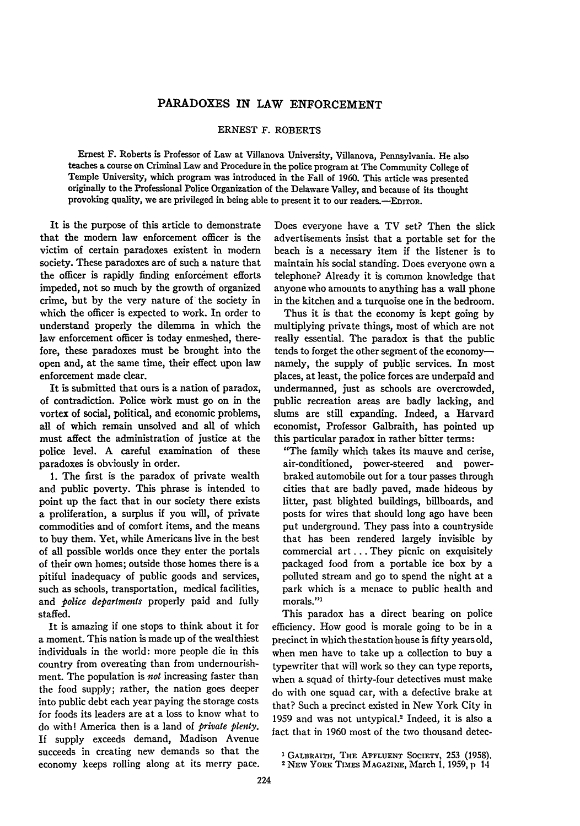### **PARADOXES IN LAW ENFORCEMENT**

#### ERNEST F. ROBERTS

Ernest F. Roberts is Professor of Law at Villanova University, Villanova, Pennsylvania. He also teaches a course on Criminal Law and Procedure in the police program at The Community College of Temple University, which program was introduced in the Fall of **1960.** This article was presented originally to the Professional Police Organization of the Delaware Valley, and because of its thought provoking quality, we are privileged in being able to present it to our readers.-EDITOR.

It is the purpose of this article to demonstrate that the modem law enforcement officer is the victim of certain paradoxes existent in modem society. These paradoxes are of such a nature that the officer is rapidly finding enforcement efforts impeded, not so much by the growth of organized crime, but by the very nature of the society in which the officer is expected to work. In order to understand properly the dilemma in which the law enforcement officer is today enmeshed, therefore, these paradoxes must be brought into the open and, at the same time, their effect upon law enforcement made dear.

It is submitted that ours is a nation of paradox, of contradiction. Police work must go on in the vortex of social, political, and economic problems, all of which remain unsolved and all of which must affect the administration of justice at the police level. A careful examination of these paradoxes is obviously in order.

**1.** The first is the paradox of private wealth and public poverty. This phrase is intended to point up the fact that in our society there exists a proliferation, a surplus if you will, of private commodities and of comfort items, and the means to buy them. Yet, while Americans live in the best of all possible worlds once they enter the portals of their own homes; outside those homes there is a pitiful inadequacy of public goods and services, such as schools, transportation, medical facilities, and *police departments* properly paid and fully staffed.

It is amazing if one stops to think about it for a moment. This nation is made up of the wealthiest individuals in the world: more people die in this country from overeating than from undernourishment. The population is *not* increasing faster than the food supply; rather, the nation goes deeper into public debt each year paying the storage costs for foods its leaders are at a loss to know what to do with! America then is a land of *private plenty.* If supply exceeds demand, Madison Avenue succeeds in creating new demands so that the economy keeps rolling along at its merry pace.

Does everyone have a TV set? Then the slick advertisements insist that a portable set for the beach is a necessary item if the listener is to maintain his social standing. Does everyone own a telephone? Already it is common knowledge that anyone who amounts to anything has a wall phone in the kitchen and a turquoise one in the bedroom.

Thus it is that the economy is kept going by multiplying private things, most of which are not really essential. The paradox is that the public tends to forget the other segment of the economynamely, the supply of public services. In most places, at least, the police forces are underpaid and undermanned, just as schools are overcrowded, public recreation areas are badly lacking, and slums are still expanding. Indeed, a Harvard economist, Professor Galbraith, has pointed up this particular paradox in rather bitter terms:

"The family which takes its mauve and cerise, air-conditioned, power-steered and powerbraked automobile out for a tour passes through cities that are badly paved, made hideous by litter, past blighted buildings, billboards, and posts for wires that should long ago have been put underground. They pass into a countryside that has been rendered largely invisible by commercial art **...** They picnic on exquisitely packaged food from a portable ice box by a polluted stream and go to spend the night at a park which is a menace to public health and morals."<sup>1</sup>

This paradox has a direct bearing on police efficiency. How good is morale going to be in a precinct in which the station house is fifty years old, when men have to take up a collection to buy a typewriter that will work so they can type reports, when a squad of thirty-four detectives must make do with one squad car, with a defective brake at that? Such a precinct existed in New York City in 1959 and was not untvpical.<sup>2</sup> Indeed, it is also a fact that in 1960 most of the two thousand detec-

**<sup>I</sup>**GALBRAIrH, THE AFFLUENT SOcIETY, 253 (1958). 2 NEw YORK TIMES **MAGAZINE,** March **1,** 1959, **1** <sup>14</sup>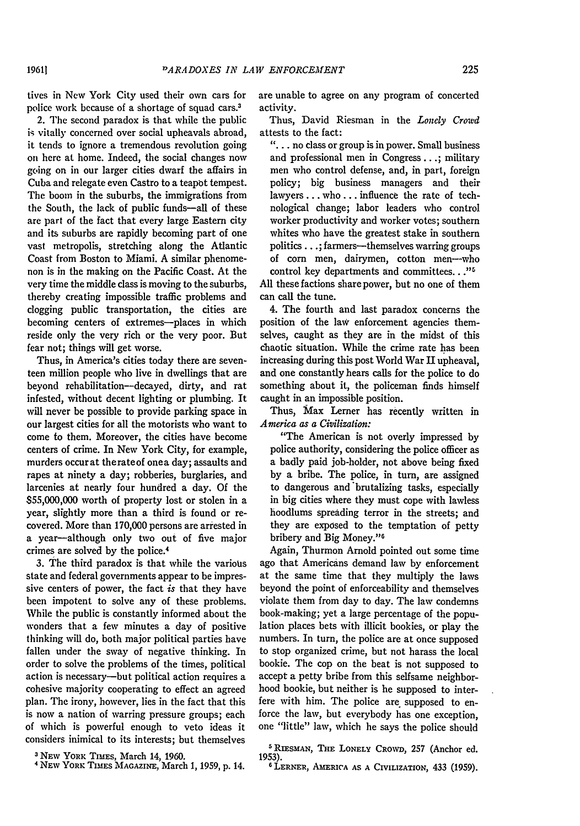tives in New York City used their own cars for police work because of a shortage of squad cars.<sup>3</sup>

2. The second paradox is that while the public is vitally concerned over social upheavals abroad, it tends to ignore a tremendous revolution going on here at home. Indeed, the social changes now going on in our larger cities dwarf the affairs in Cuba and relegate even Castro to a teapbt tempest. The boom in the suburbs, the immigrations from the South, the lack of public funds-all of these are part of the fact that every large Eastern city and its suburbs are rapidly becoming part of one vast metropolis, stretching along the Atlantic Coast from Boston to Miami. A similar phenomenon is in the making on the Pacific Coast. At the very time the middle class is moving to the suburbs, thereby creating impossible traffic problems and clogging public transportation, the cities are becoming centers of extremes--places in which reside only the very rich or the very poor. But fear not; things will get worse.

Thus, in America's cities today there are seventeen million people who live in dwellings that are beyond rehabilitation-decayed, dirty, and rat infested, without decent lighting or plumbing. It will never be possible to provide parking space in our largest cities for all the motorists who want to come to them. Moreover, the cities have become centers of crime. In New York City, for example, murders occurat therateof onea day; assaults and rapes at ninety a day; robberies, burglaries, and larcenies at nearly four hundred a day. Of the S55,000,000 worth of property lost or stolen in a year, slightly more than a third is found or recovered. More than 170,000 persons are arrested in a year-although only two out of five major crimes are solved by the police.<sup>4</sup>

3. The third paradox is that while the various state and federal governments appear to be impressive centers of power, the fact *is* that they have been impotent to solve any of these problems. While the public is constantly informed about the wonders that a few minutes a day of positive thinking will do, both major political parties have fallen under the sway of negative thinking. In order to solve the problems of the times, political action is necessary-but political action requires a cohesive majority cooperating to effect an agreed plan. The irony, however, lies in the fact that this is now a nation of warring pressure groups; each of which is powerful enough to veto ideas it considers inimical to its interests; but themselves

are unable to agree on any program of concerted activity.

Thus, David Riesman in the *Lonely Crowd* attests to the fact:

"... no class or group is in power. Small business and professional men in Congress...; military men who control defense, and, in part, foreign policy; big business managers and their lawyers **...** who **...** influence the rate of technological change; labor leaders who control worker productivity and worker votes; southern whites who have the greatest stake in southern politics...; farmers-themselves warring groups of corn men, dairymen, cotton men-who control key departments and committees. **.."** All these factions share power, but no one of them can call the tune.

4. The fourth and last paradox concerns the position of the law enforcement agencies themselves, caught as they are in the midst of this chaotic situation. While the crime rate has been increasing during this post World War II upheaval, and one constantly hears calls for the police to do something about it, the policeman finds himself caught in an impossible position.

Thus, Max Lerner has recently written in *America as a Civilization:*

"The American is not overly impressed by police authority, considering the police officer as a badly paid job-holder, not above being fixed by a bribe. The police, in turn, are assigned to dangerous and brutalizing tasks, especially in big cities where they must cope with lawless hoodlums spreading terror in the streets; and they are exposed to the temptation of petty bribery and Big Money."<sup>6</sup>

Again, Thurmon Arnold pointed out some time ago that Americans demand law by enforcement at the same time that they multiply the laws beyond the point of enforceability and themselves violate them from day to day. The law condemns book-making; yet a large percentage of the population places bets with illicit bookies, or play the numbers. In turn, the police are at once supposed to stop organized crime, but not harass the local bookie. The cop on the beat is not supposed to accept a petty bribe from this selfsame neighborhood bookie, but neither is he supposed to interfere with him. The police are supposed to enforce the law, but everybody has one exception, one "little" law, which he says the police should

**5** RIESMAN, THE LONELY CROWD, **257** (Anchor ed. 1953). 6LERNER, AMERICA **AS A** CIVILIZATION, 433 (1959).

**<sup>3</sup>** NEW YORK TIMEs, March 14, 1960.

**<sup>4</sup>** NEw YORK TIMEs MAGAZINE, March **1,** 1959, **p.** 14.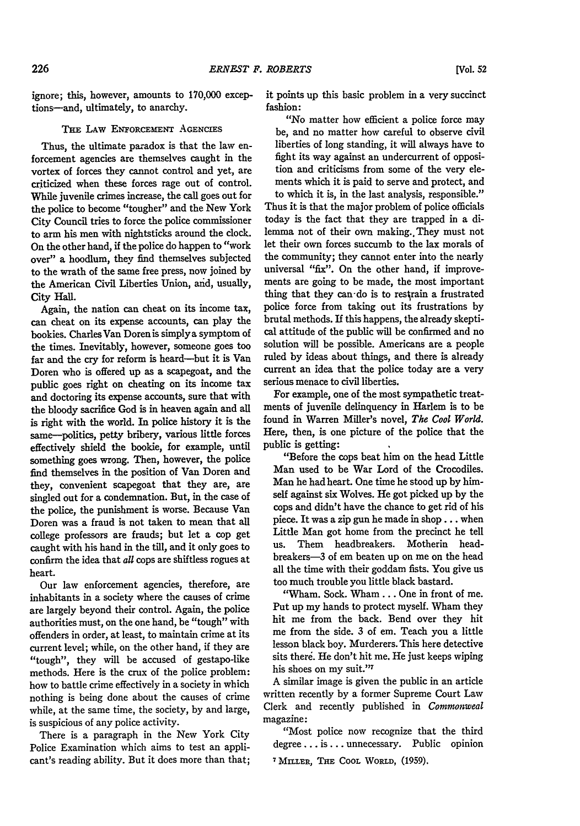ignore; this, however, amounts to 170,000 exceptions-and, ultimately, to anarchy.

#### THE **LAW** ENFORCEMENT **AGENCIES**

Thus, the ultimate paradox is that the law enforcement agencies are themselves caught in the vortex of forces they cannot control and yet, are criticized when these forces rage out of control. While juvenile crimes increase, the call goes out for the police to become "tougher" and the New York City Council tries to force the police commissioner to arm his men with nightsticks around the clock. On the other hand, if the police do happen to "work over" a hoodlum, they find themselves subjected to the wrath of the same free press, now joined by the American Civil Liberties Union, and, usually, City Hall.

Again, the nation can cheat on its income tax, can cheat on its expense accounts, can play the bookies. Charles Van Dorenis simply a symptom of the times. Inevitably, however, someone goes too far and the cry for reform is heard-but it is Van Doren who is offered up as a scapegoat, and the public goes right on cheating on its income tax and doctoring its expense accounts, sure that with the bloody sacrifice God is in heaven again and all is right with the world. In police history it is the same-politics, petty bribery, various little forces effectively shield the bookie, for example, until something goes wrong. Then, however, the police find themselves in the position of Van Doren and they, convenient scapegoat that they are, are singled out for a condemnation. But, in the case of the police, the punishment is worse. Because Van Doren was a fraud is not taken to mean that all college professors are frauds; but let a cop get caught with his hand in the till, and it only goes to confirm the idea that *all* cops are shiftless rogues at heart.

Our law enforcement agencies, therefore, are inhabitants in a society where the causes of crime are largely beyond their control. Again, the police authorities must, on the one hand, be "tough" with offenders in order, at least, to maintain crime at its current level; while, on the other hand, if they are "tough", they will be accused of gestapo-like methods. Here is the crux of the police problem: how to battle crime effectively in a society in which nothing is being done about the causes of crime while, at the same time, the society, by and large, is suspicious of any police activity.

There is a paragraph in the New York City Police Examination which aims to test an applicant's reading ability. But it does more than that; it points up this basic problem in a very succinct fashion:

"No matter how efficient a police force may be, and no matter how careful to observe civil liberties of long standing, it will always have to fight its way against an undercurrent of opposition and criticisms from some of the very elements which it is paid to serve and protect, and

to which it is, in the last analysis, responsible." Thus it is that the major problem of police officials today is the fact that they are trapped in a dilemma not of their own making., They must not let their own forces succumb to the lax morals of the community; they cannot enter into the nearly universal "fix". On the other hand, if improvements are going to be made, the most important thing that they can-do is to resirain a frustrated police force from taking out its frustrations by brutal methods. If this happens, the already skeptical attitude of the public will be confirmed and no solution will be possible. Americans are a people ruled by ideas about things, and there is already current an idea that the police today are a very serious menace to civil liberties.

For example, one of the most sympathetic treatments of juvenile delinquency in Harlem is to be found in Warren Miller's novel, *The Cool World.* Here, then, is one picture of the police that the public is getting:

"Before the cops beat him on the head Little Man used to be War Lord of the Crocodiles. Man he had heart. One time he stood up by himself against six Wolves. He got picked up by the cops and didn't have the chance to get rid of his piece. It was a zip gun he made in shop **...** when Little Man got home from the precinct he tell us. Them headbreakers. Motherin headbreakers-3 of em beaten up on me on the head all the time with their goddam fists. You give us too much trouble you little black bastard.

"Wham. Sock. Wham. **..** One in front of me. Put up my hands to protect myself. Wham they hit me from the back. Bend over they hit me from the side. 3 of em. Teach you a little lesson black boy. Murderers. This here detective sits there. He don't hit me. He just keeps wiping his shoes on my suit."7

A similar image is given the public in an article written recently by a former Supreme Court Law Clerk and recently published in *Commonweal* magazine:

"Most police now recognize that the third degree... is... unnecessary. Public opinion **7 MILLER, THE COOL** WORLD, (1959).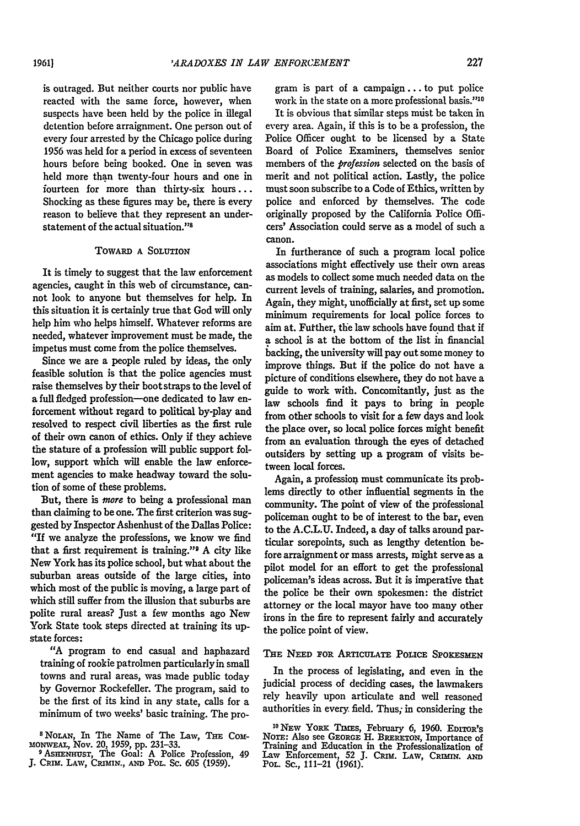is outraged. But neither courts nor public have reacted with the same force, however, when suspects have been held **by** the police in illegal detention before arraignment. One person out of **every four arrested by the Chicago police** during **1956** was held for a period in excess of seventeen hours before being booked. One in seven was held more than twenty-four hours and one in iourteen for more than thirty-six hours... Shocking as these figures may be, there is every reason to believe that they represent an understatement of the actual situation."8

#### TOWARD **A** SOLUTION

It is timely to suggest that the law enforcement agencies, caught in this web of circumstance, cannot look to anyone but themselves for help. In this situation it is certainly true that God will only help him who helps himself. Whatever reforms are needed, whatever improvement must be made, the impetus must come from the police themselves.

Since we are a people ruled **by** ideas, the only feasible solution is that the police agencies must raise themselves **by** their bootstraps to the level of a full fledged profession-one dedicated to law enforcement without regard to political by-play and resolved to respect civil liberties as the first rule of their own canon of ethics. Only **if** they achieve the stature of a profession **will** public support follow, support which will enable the law enforcement agencies to make headway toward the solution of some of these problems.

But, there is *more* to being a professional man than claiming to be one. The first criterion was suggested **by** Inspector Ashenhust of the Dallas Police: "If we analyze the professions, we know we find that a first requirement is training."<sup>9</sup>**A city** like New York has its police school, but what about the suburban areas outside of the large cities, into which most of the public is moving, a large part of which still suffer from the illusion that suburbs are polite rural areas? Just a few months ago New York State took steps directed at training its upstate forces:

"A program to end casual and haphazard training of rookie patrolmen particularly in small towns and rural areas, was made public today by Governor Rockefeller. The program, said to be the first of its kind in any state, calls for a minimum of two weeks' basic training. The program is part of a campaign... to put police work in the state on a more professional basis."10

It is obvious that similar steps mist be taken in every area. Again, if this is to be a profession, the Police Officer ought to be licensed by a State Board of Police Examiners, themselves senior members of the *profession* selected on the basis of merit and not political action. Lastly, the police must soon subscribe to a Code of Ethics, written by police and enforced by themselves. The code originally proposed by the California Police Officers' Association could serve as a model of such a canon.

In furtherance of such a program local police associations might effectively use their own areas as models to collect some much needed data on the current levels of training, salaries, and promotion. Again, they might, unofficially at first, set up some minimum requirements for local police forces to aim at. Futther, the law schools have found that if a school is at the bottom of the list in financial backing, the university will pay out some money to improve things. But if the police do not have a picture of conditions elsewhere, they do not have a guide to work with. Concomitantly, just as the law schools find it pays to bring in people from other schools to visit for a few days and look the place over, so local police forces might benefit from an evaluation through the eyes of detached outsiders by setting up a program of visits between local forces.

Again, a profession must communicate its problems directly to other influential segments in the community. The point of view of the professional policeman ought to be of interest to the bar, even to the A.C.L.U. Indeed, a day of talks around particular sorepoints, such as lengthy detention before arraignment or mass arrests, might serve as a pilot model for an effort to get the professional policeman's ideas across. But it is imperative that the police be their own spokesmen: the district attorney or the local mayor have too many other irons in the fire to represent fairly and accurately the police point of view.

#### **THE NEED FOR** ARTICULATE POLICE **SPOKESMEN**

In the process of legislating, **and** even in the judicial process of deciding cases, the lawmakers rely heavily upon articulate and well reasoned authorities in every, field. Thus; in considering the

<sup>&</sup>lt;sup>8</sup> NOLAN, In The Name of The Law, THE COMmONWEAL, Nov. 20, 1959, pp. 231-33.

<sup>9</sup>AsENHusT, The Goal: **A** Police Profession, 49 **3.** CRIM. LAW, CRIMIN., **AND** POL. **Sc. 605 (1959).**

**<sup>&#</sup>x27;ONEw** YoRx TniEs, February 6, 1960. EDIToR's **NoTE:** Also see GEORGE H. BRERETON, Importance of Training and Education in the Professionalization of Law Enforcement, 52 J. CRIM. LAW, CRIMIN. AND<br>Pol. Sc., 111-21 **(1961)**.